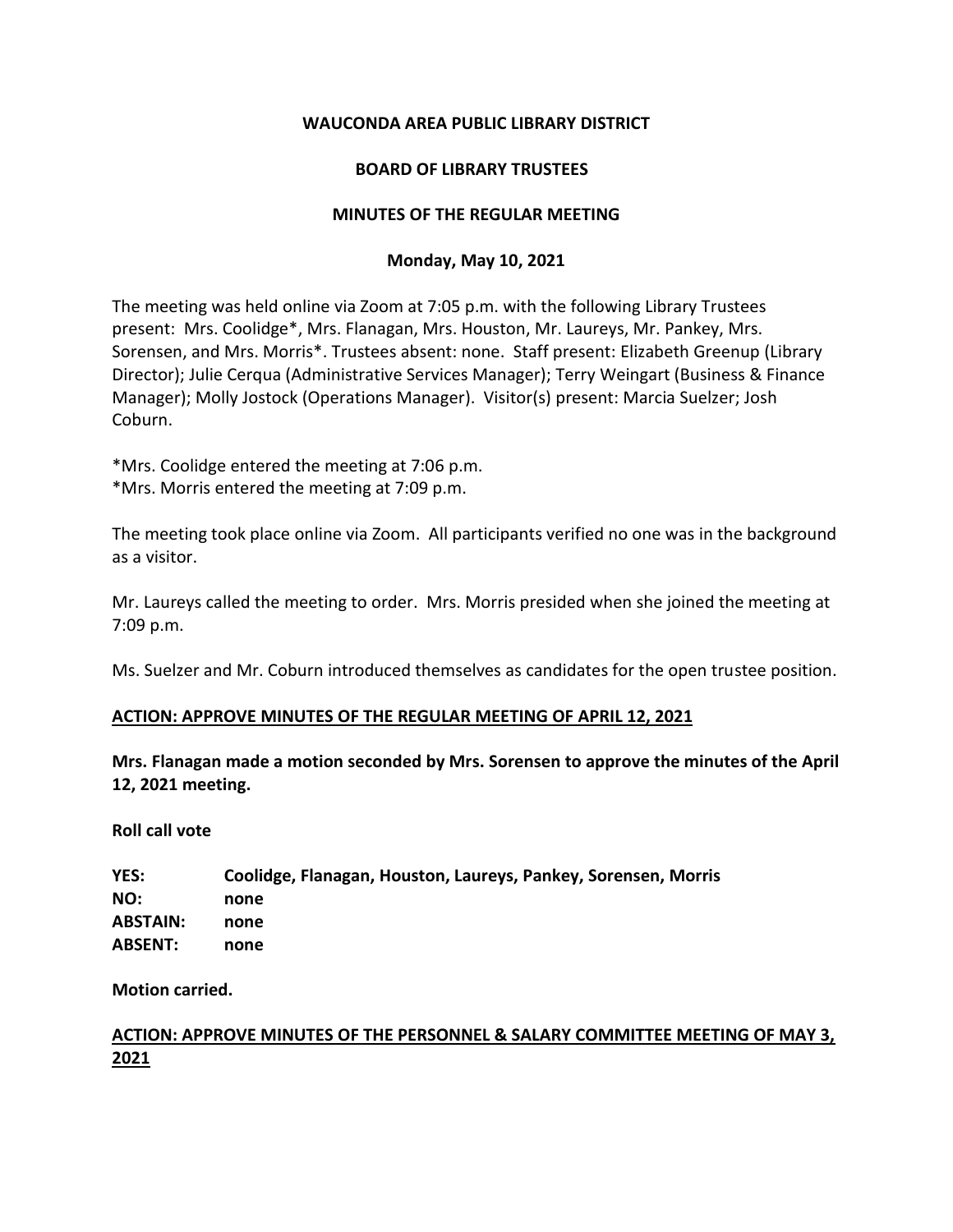## **WAUCONDA AREA PUBLIC LIBRARY DISTRICT**

## **BOARD OF LIBRARY TRUSTEES**

## **MINUTES OF THE REGULAR MEETING**

## **Monday, May 10, 2021**

The meeting was held online via Zoom at 7:05 p.m. with the following Library Trustees present: Mrs. Coolidge\*, Mrs. Flanagan, Mrs. Houston, Mr. Laureys, Mr. Pankey, Mrs. Sorensen, and Mrs. Morris\*. Trustees absent: none. Staff present: Elizabeth Greenup (Library Director); Julie Cerqua (Administrative Services Manager); Terry Weingart (Business & Finance Manager); Molly Jostock (Operations Manager). Visitor(s) present: Marcia Suelzer; Josh Coburn.

\*Mrs. Coolidge entered the meeting at 7:06 p.m.

\*Mrs. Morris entered the meeting at 7:09 p.m.

The meeting took place online via Zoom. All participants verified no one was in the background as a visitor.

Mr. Laureys called the meeting to order. Mrs. Morris presided when she joined the meeting at 7:09 p.m.

Ms. Suelzer and Mr. Coburn introduced themselves as candidates for the open trustee position.

## **ACTION: APPROVE MINUTES OF THE REGULAR MEETING OF APRIL 12, 2021**

**Mrs. Flanagan made a motion seconded by Mrs. Sorensen to approve the minutes of the April 12, 2021 meeting.** 

**Roll call vote**

| YES:            | Coolidge, Flanagan, Houston, Laureys, Pankey, Sorensen, Morris |
|-----------------|----------------------------------------------------------------|
| NO:             | none                                                           |
| <b>ABSTAIN:</b> | none                                                           |
| <b>ABSENT:</b>  | none                                                           |

**Motion carried.**

# **ACTION: APPROVE MINUTES OF THE PERSONNEL & SALARY COMMITTEE MEETING OF MAY 3, 2021**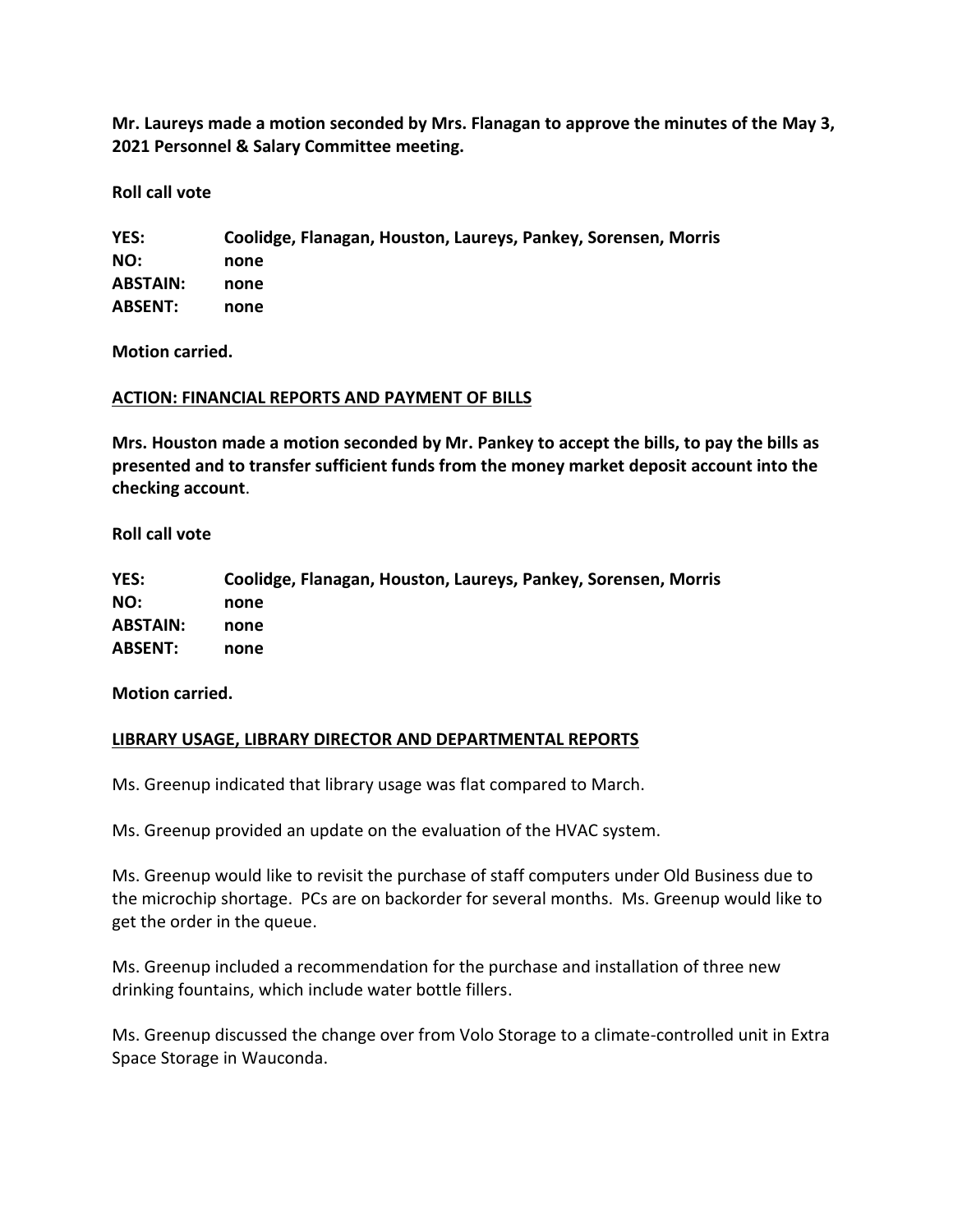**Mr. Laureys made a motion seconded by Mrs. Flanagan to approve the minutes of the May 3, 2021 Personnel & Salary Committee meeting.** 

**Roll call vote**

**YES: Coolidge, Flanagan, Houston, Laureys, Pankey, Sorensen, Morris NO: none ABSTAIN: none ABSENT: none**

**Motion carried.**

### **ACTION: FINANCIAL REPORTS AND PAYMENT OF BILLS**

**Mrs. Houston made a motion seconded by Mr. Pankey to accept the bills, to pay the bills as presented and to transfer sufficient funds from the money market deposit account into the checking account**.

**Roll call vote** 

**YES: Coolidge, Flanagan, Houston, Laureys, Pankey, Sorensen, Morris NO: none ABSTAIN: none ABSENT: none**

**Motion carried.**

## **LIBRARY USAGE, LIBRARY DIRECTOR AND DEPARTMENTAL REPORTS**

Ms. Greenup indicated that library usage was flat compared to March.

Ms. Greenup provided an update on the evaluation of the HVAC system.

Ms. Greenup would like to revisit the purchase of staff computers under Old Business due to the microchip shortage. PCs are on backorder for several months. Ms. Greenup would like to get the order in the queue.

Ms. Greenup included a recommendation for the purchase and installation of three new drinking fountains, which include water bottle fillers.

Ms. Greenup discussed the change over from Volo Storage to a climate-controlled unit in Extra Space Storage in Wauconda.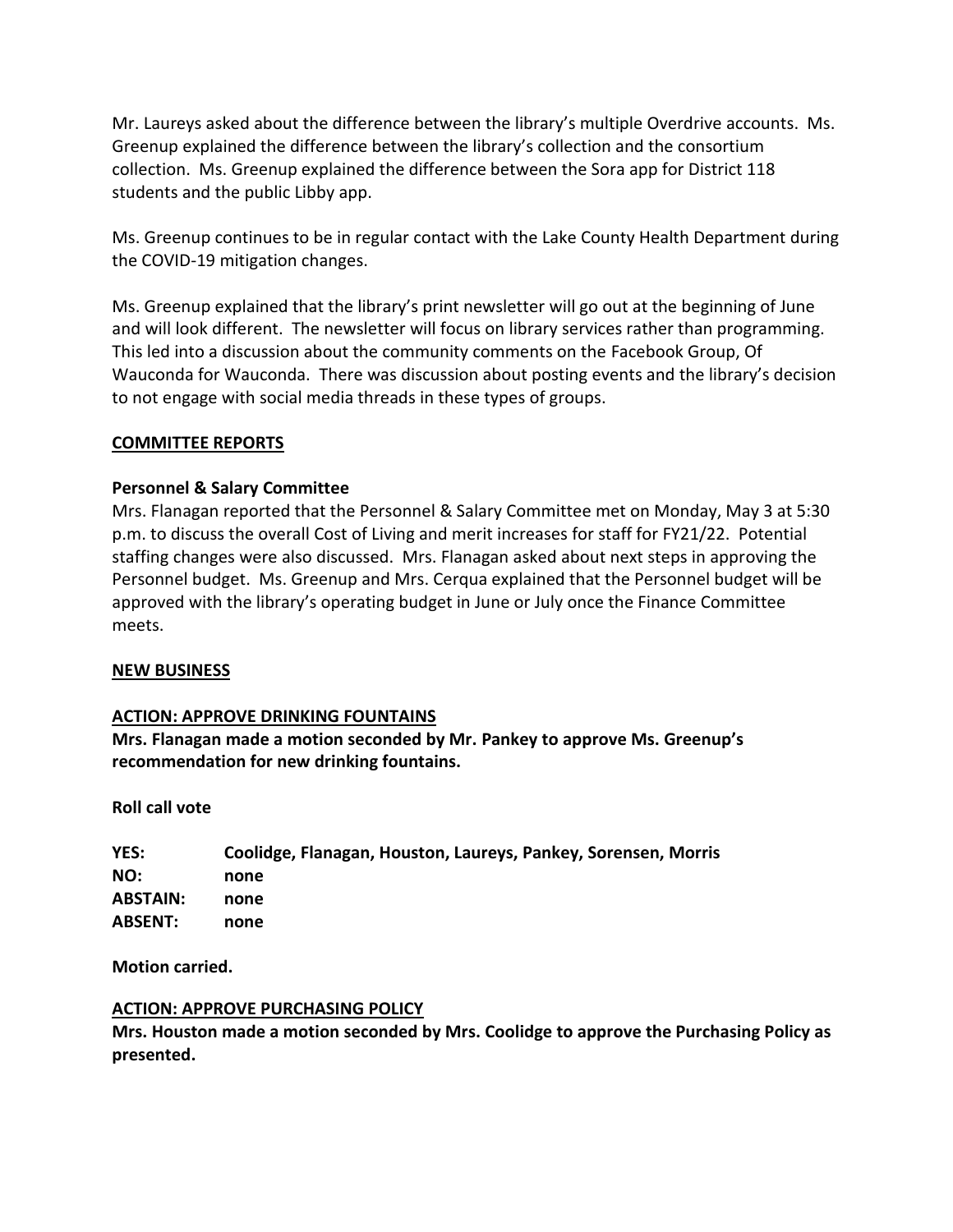Mr. Laureys asked about the difference between the library's multiple Overdrive accounts. Ms. Greenup explained the difference between the library's collection and the consortium collection. Ms. Greenup explained the difference between the Sora app for District 118 students and the public Libby app.

Ms. Greenup continues to be in regular contact with the Lake County Health Department during the COVID-19 mitigation changes.

Ms. Greenup explained that the library's print newsletter will go out at the beginning of June and will look different. The newsletter will focus on library services rather than programming. This led into a discussion about the community comments on the Facebook Group, Of Wauconda for Wauconda. There was discussion about posting events and the library's decision to not engage with social media threads in these types of groups.

### **COMMITTEE REPORTS**

### **Personnel & Salary Committee**

Mrs. Flanagan reported that the Personnel & Salary Committee met on Monday, May 3 at 5:30 p.m. to discuss the overall Cost of Living and merit increases for staff for FY21/22. Potential staffing changes were also discussed. Mrs. Flanagan asked about next steps in approving the Personnel budget. Ms. Greenup and Mrs. Cerqua explained that the Personnel budget will be approved with the library's operating budget in June or July once the Finance Committee meets.

#### **NEW BUSINESS**

#### **ACTION: APPROVE DRINKING FOUNTAINS**

**Mrs. Flanagan made a motion seconded by Mr. Pankey to approve Ms. Greenup's recommendation for new drinking fountains.**

#### **Roll call vote**

| YES:            | Coolidge, Flanagan, Houston, Laureys, Pankey, Sorensen, Morris |
|-----------------|----------------------------------------------------------------|
| NO:             | none                                                           |
| <b>ABSTAIN:</b> | none                                                           |
| <b>ABSENT:</b>  | none                                                           |

**Motion carried.**

#### **ACTION: APPROVE PURCHASING POLICY**

**Mrs. Houston made a motion seconded by Mrs. Coolidge to approve the Purchasing Policy as presented.**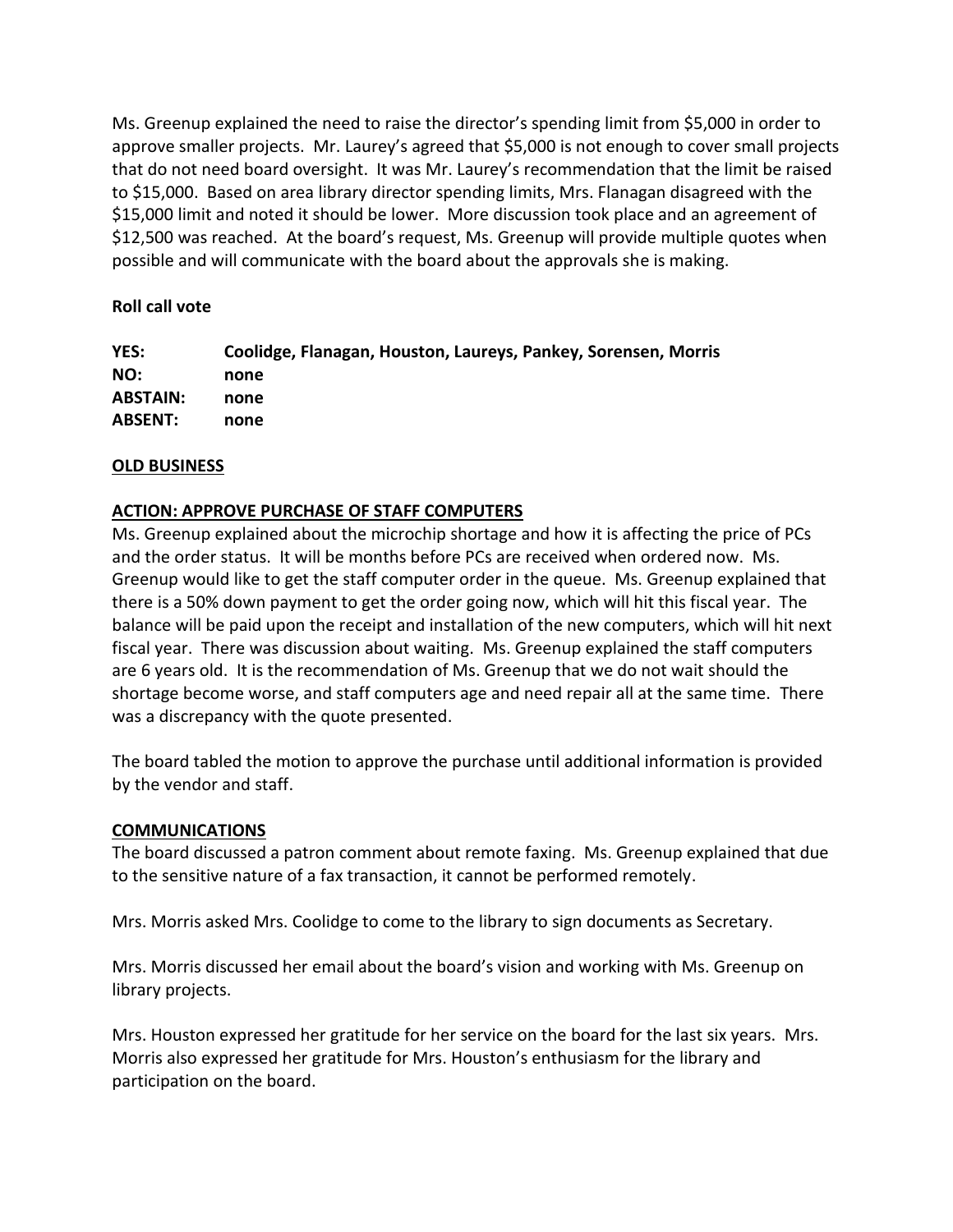Ms. Greenup explained the need to raise the director's spending limit from \$5,000 in order to approve smaller projects. Mr. Laurey's agreed that \$5,000 is not enough to cover small projects that do not need board oversight. It was Mr. Laurey's recommendation that the limit be raised to \$15,000. Based on area library director spending limits, Mrs. Flanagan disagreed with the \$15,000 limit and noted it should be lower. More discussion took place and an agreement of \$12,500 was reached. At the board's request, Ms. Greenup will provide multiple quotes when possible and will communicate with the board about the approvals she is making.

# **Roll call vote**

| <b>YES:</b> | Coolidge, Flanagan, Houston, Laureys, Pankey, Sorensen, Morris |
|-------------|----------------------------------------------------------------|
| NO:         | none                                                           |
| ABSTAIN:    | none                                                           |
| ABSENT:     | none                                                           |

# **OLD BUSINESS**

# **ACTION: APPROVE PURCHASE OF STAFF COMPUTERS**

Ms. Greenup explained about the microchip shortage and how it is affecting the price of PCs and the order status. It will be months before PCs are received when ordered now. Ms. Greenup would like to get the staff computer order in the queue. Ms. Greenup explained that there is a 50% down payment to get the order going now, which will hit this fiscal year. The balance will be paid upon the receipt and installation of the new computers, which will hit next fiscal year. There was discussion about waiting. Ms. Greenup explained the staff computers are 6 years old. It is the recommendation of Ms. Greenup that we do not wait should the shortage become worse, and staff computers age and need repair all at the same time. There was a discrepancy with the quote presented.

The board tabled the motion to approve the purchase until additional information is provided by the vendor and staff.

## **COMMUNICATIONS**

The board discussed a patron comment about remote faxing. Ms. Greenup explained that due to the sensitive nature of a fax transaction, it cannot be performed remotely.

Mrs. Morris asked Mrs. Coolidge to come to the library to sign documents as Secretary.

Mrs. Morris discussed her email about the board's vision and working with Ms. Greenup on library projects.

Mrs. Houston expressed her gratitude for her service on the board for the last six years. Mrs. Morris also expressed her gratitude for Mrs. Houston's enthusiasm for the library and participation on the board.